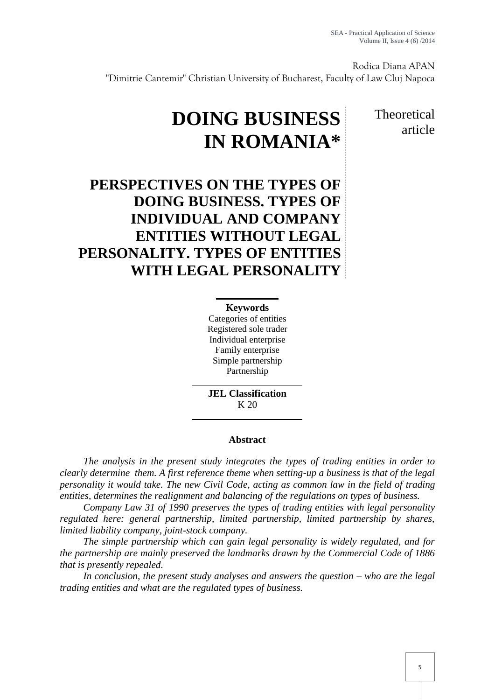Rodica Diana APAN "Dimitrie Cantemir" Christian University of Bucharest, Faculty of Law Cluj Napoca

# **DOING BUSINESS IN ROMANIA\***

Theoretical article

## **PERSPECTIVES ON THE TYPES OF DOING BUSINESS. TYPES OF INDIVIDUAL AND COMPANY ENTITIES WITHOUT LEGAL PERSONALITY. TYPES OF ENTITIES WITH LEGAL PERSONALITY**

### **Keywords**

Categories of entities Registered sole trader Individual enterprise Family enterprise Simple partnership Partnership

**JEL Classification** K 20

#### **Abstract**

*The analysis in the present study integrates the types of trading entities in order to clearly determine them. A first reference theme when setting-up a business is that of the legal personality it would take. The new Civil Code, acting as common law in the field of trading entities, determines the realignment and balancing of the regulations on types of business.*

*Company Law 31 of 1990 preserves the types of trading entities with legal personality regulated here: general partnership, limited partnership, limited partnership by shares, limited liability company, joint-stock company.*

*The simple partnership which can gain legal personality is widely regulated, and for the partnership are mainly preserved the landmarks drawn by the Commercial Code of 1886 that is presently repealed.*

*In conclusion, the present study analyses and answers the question – who are the legal trading entities and what are the regulated types of business.*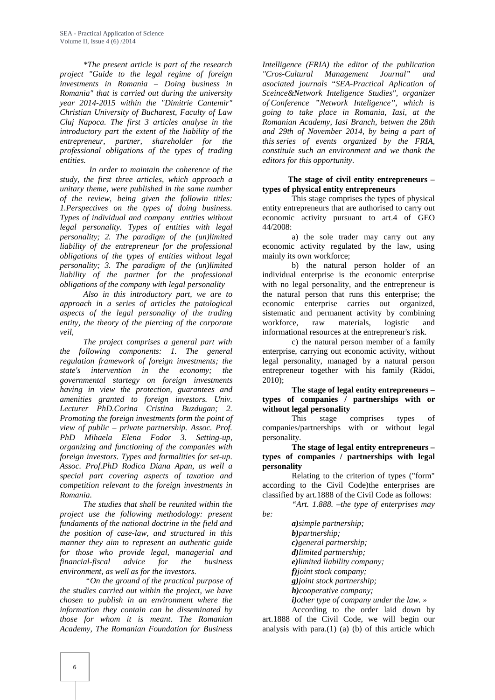*\*The present article is part of the research project "Guide to the legal regime of foreign investments in Romania – Doing business in Romania" that is carried out during the university year 2014-2015 within the "Dimitrie Cantemir" Christian University of Bucharest, Faculty of Law Cluj Napoca. The first 3 articles analyse in the introductory part the extent of the liability of the entrepreneur, partner, shareholder for the professional obligations of the types of trading entities.*

*In order to maintain the coherence of the study, the first three articles, which approach a unitary theme, were published in the same number of the review, being given the followin titles: 1.Perspectives on the types of doing business. Types of individual and company entities without legal personality. Types of entities with legal personality; 2. The paradigm of the (un)limited liability of the entrepreneur for the professional obligations of the types of entities without legal personality; 3. The paradigm of the (un)limited liability of the partner for the professional obligations of the company with legal personality*

*Also in this introductory part, we are to approach in a series of articles the patological aspects of the legal personality of the trading entity, the theory of the piercing of the corporate veil,*

*The project comprises a general part with the following components: 1. The general regulation framework of foreign investments; the state's intervention in the economy; the governmental startegy on foreign investments having in view the protection, guarantees and amenities granted to foreign investors. Univ. Lecturer PhD.Corina Cristina Buzdugan; 2. Promoting the foreign investments form the point of view of public – private partnership. Assoc. Prof. PhD Mihaela Elena Fodor 3. Setting-up, organizing and functioning of the companies with foreign investors. Types and formalities for set-up. Assoc. Prof.PhD Rodica Diana Apan, as well a special part covering aspects of taxation and competition relevant to the foreign investments in Romania.*

*The studies that shall be reunited within the project use the following methodology: present fundaments of the national doctrine in the field and the position of case-law, and structured in this manner they aim to represent an authentic guide for those who provide legal, managerial and financial-fiscal advice for the business environment, as well as for the investors.*

*"On the ground of the practical purpose of the studies carried out within the project, we have chosen to publish in an environment where the information they contain can be disseminated by those for whom it is meant. The Romanian Academy, The Romanian Foundation for Business*

*Intelligence (FRIA) the editor of the publication "Cros-Cultural Management Journal" and asociated journals "SEA-Practical Aplication of Sceince&Network Inteligence Studies", organizer of Conference "Network Inteligence", which is going to take place in Romania, Iasi, at the Romanian Academy, Iasi Branch, betwen the 28th and 29th of November 2014, by being a part of this series of events organized by the FRIA, constituie such an environment and we thank the editors for this opportunity*.

#### **The stage of civil entity entrepreneurs – types of physical entity entrepreneurs**

This stage comprises the types of physical entity entrepreneurs that are authorised to carry out economic activity pursuant to art.4 of GEO 44/2008:

a) the sole trader may carry out any economic activity regulated by the law, using mainly its own workforce;

b) the natural person holder of an individual enterprise is the economic enterprise with no legal personality, and the entrepreneur is the natural person that runs this enterprise; the economic enterprise carries out organized, sistematic and permanent activity by combining workforce, raw materials, logistic and informational resources at the entrepreneur's risk.

c) the natural person member of a family enterprise, carrying out economic activity, without legal personality, managed by a natural person entrepreneur together with his family (R doi, 2010);

**The stage of legal entity entrepreneurs – types of companies / partnerships with or without legal personality**

This stage comprises types of companies/partnerships with or without legal personality.

**The stage of legal entity entrepreneurs – types of companies / partnerships with legal personality**

Relating to the criterion of types ("form" according to the Civil Code)the enterprises are classified by art.1888 of the Civil Code as follows:

*"Art. 1.888. –the type of enterprises may be:*

> *a)simple partnership; b)partnership; c)general partnership; d)limited partnership; e)limited liability company; f)joint stock company; g)joint stock partnership; h)cooperative company; i)other type of company under the law. »*

According to the order laid down by art.1888 of the Civil Code, we will begin our analysis with para. $(1)$  (a) (b) of this article which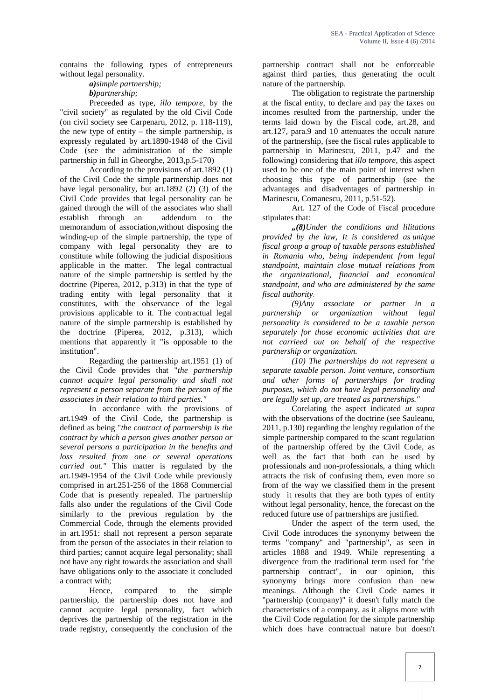contains the following types of entrepreneurs without legal personality.

> *a)simple partnership; b)partnership;*

Preceeded as type, *illo tempore,* by the "civil society" as regulated by the old Civil Code (on civil society see Carpenaru, 2012, p. 118-119), the new type of entity – the simple partnership, is expressly regulated by art.1890-1948 of the Civil Code (see the administration of the simple partnership in full in Gheorghe, 2013,p.5-170)

According to the provisions of art.1892 (1) of the Civil Code the simple partnership does not have legal personality, but art.  $1892$  (2) (3) of the Civil Code provides that legal personality can be gained through the will of the associates who shall<br>establish through an addendum to the establish through an memorandum of association,without disposing the winding-up of the simple partnership, the type of company with legal personality they are to constitute while following the judicial dispositions applicable in the matter. The legal contractual nature of the simple partnership is settled by the doctrine (Piperea, 2012, p.313) in that the type of trading entity with legal personality that it constitutes, with the observance of the legal provisions applicable to it. The contractual legal nature of the simple partnership is established by the doctrine (Piperea, 2012, p.313), which mentions that apparently it "is opposable to the institution".

Regarding the partnership art.1951 (1) of the Civil Code provides that "*the partnership cannot acquire legal personality and shall not represent a person separate from the person of the associates in their relation to third parties."*

In accordance with the provisions of art.1949 of the Civil Code, the partnership is defined as being "*the contract of partnership is the contract by which a person gives another person or several persons a participation in the benefits and loss resulted from one or several operations carried out."* This matter is regulated by the art.1949-1954 of the Civil Code while previously comprised in art.251-256 of the 1868 Commercial Code that is presently repealed. The partnership falls also under the regulations of the Civil Code similarly to the previous regulation by the Commercial Code, through the elements provided in art.1951: shall not represent a person separate from the person of the associates in their relation to third parties; cannot acquire legal personality; shall not have any right towards the association and shall have obligations only to the associate it concluded a contract with;

Hence, compared to the simple partnership, the partnership does not have and cannot acquire legal personality, fact which deprives the partnership of the registration in the trade registry, consequently the conclusion of the

partnership contract shall not be enforceable against third parties, thus generating the ocult nature of the partnership.

The obligation to registrate the partnership at the fiscal entity, to declare and pay the taxes on incomes resulted from the partnership, under the terms laid down by the Fiscal code, art.28, and art.127, para.9 and 10 attenuates the occult nature of the partnership, (see the fiscal rules applicable to partnership in Marinescu, 2011, p.47 and the following) considering that *illo tempore*, this aspect used to be one of the main point of interest when choosing this type of partnership (see the advantages and disadventages of partnership in Marinescu, Comanescu, 2011, p.51-52).

Art. 127 of the Code of Fiscal procedure stipulates that:

*"(8)Under the conditions and lilitations provided by the law, It is considered as unique fiscal group a group of taxable persons established in Romania who, being independent from legal standpoint, maintain close mutual relations from the organizational, financial and economical standpoint, and who are administered by the same fiscal authority.*

*(9)Any associate or partner in a partnership or organization without legal personality is considered to be a taxable person separately for those economic activities that are not carrieed out on behalf of the respective partnership or organization.*

*(10) The partnerships do not represent a separate taxable person. Joint venture, consortium and other forms of partnerships for trading purposes, which do not have legal personality and are legally set up, are treated as partnerships."*

Corelating the aspect indicated *ut supra* with the observations of the doctrine (see Sauleanu, 2011, p.130) regarding the lenghty regulation of the simple partnership compared to the scant regulation of the partnership offered by the Civil Code, as well as the fact that both can be used by professionals and non-professionals, a thing which attracts the risk of confusing them, even more so from of the way we classified them in the present study it results that they are both types of entity without legal personality, hence, the forecast on the reduced future use of partnerships are justified.

Under the aspect of the term used, the Civil Code introduces the synonymy between the terms "company" and "partnership", as seen in articles 1888 and 1949. While representing a divergence from the traditional term used for "the partnership contract", in our opinion, this synonymy brings more confusion than new meanings. Although the Civil Code names it "partnership (company)" it doesn't fully match the characteristics of a company, as it aligns more with the Civil Code regulation for the simple partnership which does have contractual nature but doesn't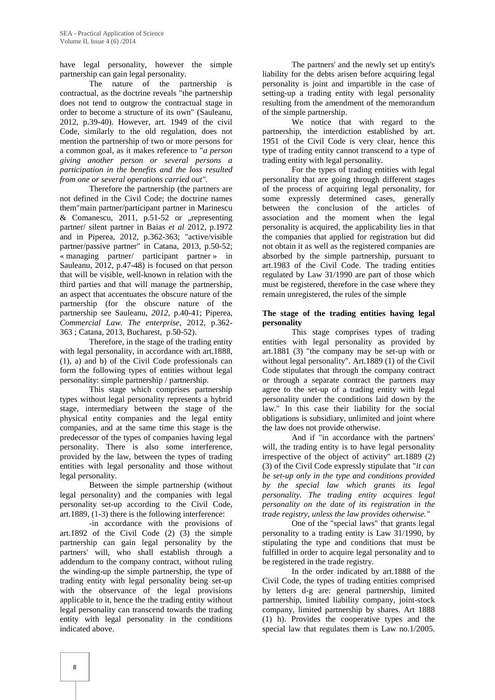have legal personality, however the simple partnership can gain legal personality.

The nature of the partnership is contractual, as the doctrine reveals "the partnership does not tend to outgrow the contractual stage in order to become a structure of its own" (Sauleanu, 2012, p.39-40). However, art. 1949 of the civil Code, similarly to the old regulation, does not mention the partnership of two or more persons for a common goal, as it makes reference to "*a person giving another person or several persons a participation in the benefits and the loss resulted from one or several operations carried out".*

Therefore the partnership (the partners are not defined in the Civil Code; the doctrine names them"main partner/participant partner in Marinescu & Comanescu, 2011,  $p.51-52$  or "representing partner/ silent partner in Baias *et al* 2012, p.1972 and in Piperea, 2012, p.362-363; "active/visible partner/passive partner" in Catana, 2013, p.50-52; « managing partner/ participant partner » in Sauleanu, 2012, p.47-48) is focused on that person that will be visible, well-known in relation with the third parties and that will manage the partnership, an aspect that accentuates the obscure nature of the partnership (for the obscure nature of the partnership see Sauleanu, *2012,* p.40-41; Piperea, *Commercial Law. The enterprise*, 2012, p.362- 363 ; Catana, 2013, Bucharest, p.50-52).

Therefore, in the stage of the trading entity with legal personality, in accordance with art.1888, (1), a) and b) of the Civil Code professionals can form the following types of entities without legal personality: simple partnership / partnership.

This stage which comprises partnership types without legal personality represents a hybrid stage, intermediary between the stage of the physical entity companies and the legal entity companies, and at the same time this stage is the predecessor of the types of companies having legal personality. There is also some interference, provided by the law, between the types of trading entities with legal personality and those without legal personality.

Between the simple partnership (without legal personality) and the companies with legal personality set-up according to the Civil Code, art.1889, (1-3) there is the following interference:

-in accordance with the provisions of art.1892 of the Civil Code (2) (3) the simple partnership can gain legal personality by the partners' will, who shall establish through a addendum to the company contract, without ruling the winding-up the simple partnership, the type of trading entity with legal personality being set-up with the observance of the legal provisions applicable to it, hence the the trading entity without legal personality can transcend towards the trading entity with legal personality in the conditions indicated above.

The partners' and the newly set up entity's liability for the debts arisen before acquiring legal personality is joint and impartible in the case of setting-up a trading entity with legal personality resulting from the amendment of the memorandum of the simple partnership.

We notice that with regard to the partnership, the interdiction established by art. 1951 of the Civil Code is very clear, hence this type of trading entity cannot transcend to a type of trading entity with legal personality.

For the types of trading entities with legal personality that are going through different stages of the process of acquiring legal personality, for some expressly determined cases, generally between the conclusion of the articles of association and the moment when the legal personality is acquired, the applicability lies in that the companies that applied for registration but did not obtain it as well as the registered companies are absorbed by the simple partnership, pursuant to art.1983 of the Civil Code. The trading entities regulated by Law 31/1990 are part of those which must be registered, therefore in the case where they remain unregistered, the rules of the simple

#### **The stage of the trading entities having legal personality**

This stage comprises types of trading entities with legal personality as provided by art.1881 (3) "the company may be set-up with or without legal personality". Art.1889 (1) of the Civil Code stipulates that through the company contract or through a separate contract the partners may agree to the set-up of a trading entity with legal personality under the conditions laid down by the law." In this case their liability for the social obligations is subsidiary, unlimited and joint where the law does not provide otherwise.

And if "in accordance with the partners' will, the trading entity is to have legal personality irrespective of the object of activity" art.1889 (2) (3) of the Civil Code expressly stipulate that "*it can be set-up only in the type and conditions provided by the special law which grants its legal personality. The trading entity acquires legal personality on the date of its registration in the trade registry, unless the law provides otherwise."*

One of the "special laws" that grants legal personality to a trading entity is Law 31/1990, by stipulating the type and conditions that must be fulfilled in order to acquire legal personality and to be registered in the trade registry.

In the order indicated by art.1888 of the Civil Code, the types of trading entities comprised by letters d-g are: general partnership, limited partnership, limited liability company, joint-stock company, limited partnership by shares. Art 1888 (1) h). Provides the cooperative types and the special law that regulates them is Law no.1/2005.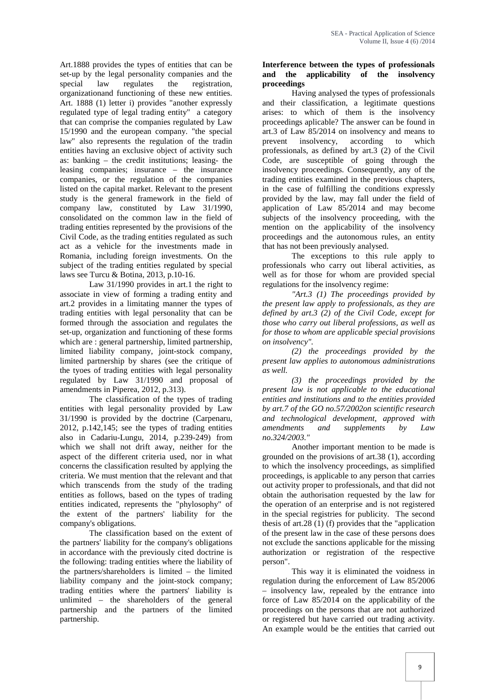Art.1888 provides the types of entities that can be set-up by the legal personality companies and the special law regulates the registration, organizationand functioning of these new entities. Art. 1888 (1) letter i) provides "another expressly regulated type of legal trading entity" a category that can comprise the companies regulated by Law 15/1990 and the european company. "the special law" also represents the regulation of the tradin prevent entities having an exclusive object of activity such as: banking – the credit institutions; leasing- the leasing companies; insurance – the insurance companies, or the regulation of the companies listed on the capital market. Relevant to the present study is the general framework in the field of company law, constituted by Law 31/1990, consolidated on the common law in the field of trading entities represented by the provisions of the Civil Code, as the trading entities regulated as such act as a vehicle for the investments made in Romania, including foreign investments. On the subject of the trading entities regulated by special laws see Turcu & Botina, 2013, p.10-16.

Law 31/1990 provides in art.1 the right to associate in view of forming a trading entity and art.2 provides in a limitating manner the types of trading entities with legal personality that can be formed through the association and regulates the set-up, organization and functioning of these forms which are : general partnership, limited partnership, limited liability company, joint-stock company, limited partnership by shares (see the critique of the tyoes of trading entities with legal personality regulated by Law 31/1990 and proposal of amendments in Piperea, 2012, p.313).

The classification of the types of trading entities with legal personality provided by Law 31/1990 is provided by the doctrine (Carpenaru, 2012, p.142,145; see the types of trading entities also in Cadariu-Lungu, 2014, p.239-249) from which we shall not drift away, neither for the aspect of the different criteria used, nor in what concerns the classification resulted by applying the criteria. We must mention that the relevant and that which transcends from the study of the trading entities as follows, based on the types of trading entities indicated, represents the "phylosophy" of the extent of the partners' liability for the company's obligations.

The classification based on the extent of the partners' liability for the company's obligations in accordance with the previously cited doctrine is the following: trading entities where the liability of the partners/shareholders is limited – the limited liability company and the joint-stock company; trading entities where the partners' liability is unlimited – the shareholders of the general partnership and the partners of the limited partnership.

### **Interference between the types of professionals and the applicability of the insolvency proceedings**

Having analysed the types of professionals and their classification, a legitimate questions arises: to which of them is the insolvency proceedings aplicable? The answer can be found in art.3 of Law 85/2014 on insolvency and means to<br>prevent insolvency, according to which insolvency, according to professionals, as defined by art.3  $(2)$  of the Civil Code, are susceptible of going through the insolvency proceedings. Consequently, any of the trading entities examined in the previous chapters, in the case of fulfilling the conditions expressly provided by the law, may fall under the field of application of Law 85/2014 and may become subjects of the insolvency proceeding, with the mention on the applicability of the insolvency proceedings and the autonomous rules, an entity that has not been previously analysed.

The exceptions to this rule apply to professionals who carry out liberal activities, as well as for those for whom are provided special regulations for the insolvency regime:

*"Art.3 (1) The proceedings provided by the present law apply to professionals, as they are defined by art.3 (2) of the Civil Code, except for those who carry out liberal professions, as well as for those to whom are applicable special provisions on insolvency".*

*(2) the proceedings provided by the present law applies to autonomous administrations as well.*

*(3) the proceedings provided by the present law is not applicable to the educational entities and institutions and to the entities provided by art.7 of the GO no.57/2002on scientific research and technological development, approved with amendments and supplements by Law no.324/2003."*

Another important mention to be made is grounded on the provisions of art.38 (1), according to which the insolvency proceedings, as simplified proceedings, is applicable to any person that carries out activity proper to professionals, and that did not obtain the authorisation requested by the law for the operation of an enterprise and is not registered in the special registries for publicity. The second thesis of art.28  $(1)$  (f) provides that the "application of the present law in the case of these persons does not exclude the sanctions applicable for the missing authorization or registration of the respective person".

This way it is eliminated the voidness in regulation during the enforcement of Law 85/2006 – insolvency law, repealed by the entrance into force of Law 85/2014 on the applicability of the proceedings on the persons that are not authorized or registered but have carried out trading activity. An example would be the entities that carried out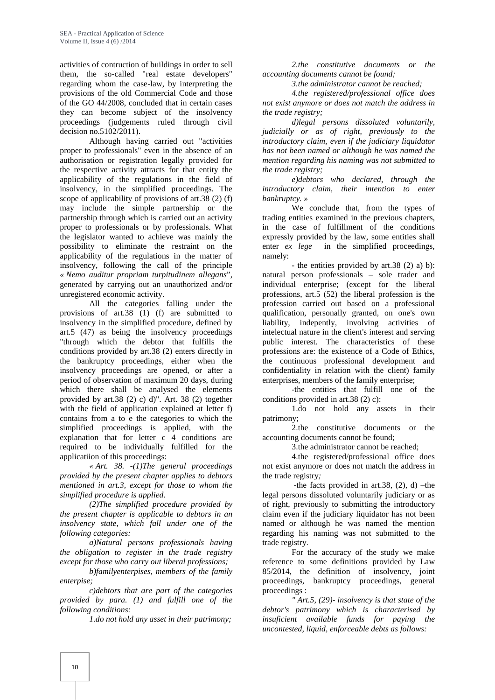activities of contruction of buildings in order to sell them, the so-called "real estate developers" regarding whom the case-law, by interpreting the provisions of the old Commercial Code and those of the GO 44/2008, concluded that in certain cases they can become subject of the insolvency proceedings (judgements ruled through civil decision no.5102/2011).

Although having carried out "activities proper to professionals" even in the absence of an authorisation or registration legally provided for the respective activity attracts for that entity the applicability of the regulations in the field of insolvency, in the simplified proceedings. The scope of applicability of provisions of art.38 (2) (f) may include the simple partnership or the partnership through which is carried out an activity proper to professionals or by professionals. What the legislator wanted to achieve was mainly the possibility to eliminate the restraint on the applicability of the regulations in the matter of insolvency, following the call of the principle *« Nemo auditur propriam turpitudinem allegans*", generated by carrying out an unauthorized and/or unregistered economic activity.

All the categories falling under the provisions of art.38 (1) (f) are submitted to insolvency in the simplified procedure, defined by art.5 (47) as being the insolvency proceedings "through which the debtor that fulfills the conditions provided by art.38 (2) enters directly in the bankruptcy proceedings, either when the insolvency proceedings are opened, or after a period of observation of maximum 20 days, during which there shall be analysed the elements provided by art.38 (2) c) d)". Art. 38 (2) together with the field of application explained at letter f) contains from a to e the categories to which the simplified proceedings is applied, with the explanation that for letter c 4 conditions are required to be individually fulfilled for the applicatiion of this proceedings:

*« Art. 38. -(1)The general proceedings provided by the present chapter applies to debtors mentioned in art.3, except for those to whom the simplified procedure is applied.*

*(2)The simplified procedure provided by the present chapter is applicable to debtors in an insolvency state, which fall under one of the following categories:*

*a)Natural persons professionals having the obligation to register in the trade registry except for those who carry out liberal professions;*

*b)familyenterpises, members of the family enterpise;*

*c)debtors that are part of the categories provided by para. (1) and fulfill one of the following conditions:*

*1.do not hold any asset in their patrimony;*

*2.the constitutive documents or the accounting documents cannot be found;*

*3.the administrator cannot be reached;*

*4.the registered/professional office does not exist anymore or does not match the address in the trade registry;*

*d)legal persons dissoluted voluntarily, judicially or as of right, previously to the introductory claim, even if the judiciary liquidator has not been named or although he was named the mention regarding his naming was not submitted to the trade registry;*

*e)debtors who declared, through the introductory claim, their intention to enter bankruptcy. »*

We conclude that, from the types of trading entities examined in the previous chapters, in the case of fulfillment of the conditions expressly provided by the law, some entities shall enter *ex lege* in the simplified proceedings, namely:

- the entities provided by art.38 (2) a) b): natural person professionals – sole trader and individual enterprise; (except for the liberal professions, art.5 (52) the liberal profession is the profession carried out based on a professional qualification, personally granted, on one's own liability, indepently, involving activities of intelectual nature in the client's interest and serving public interest. The characteristics of these professions are: the existence of a Code of Ethics, the continuous professional development and confidentiality in relation with the client) family enterprises, members of the family enterprise;

-the entities that fulfill one of the conditions provided in art.38 (2) c):

1.do not hold any assets in their patrimony;

2.the constitutive documents or the accounting documents cannot be found;

3.the administrator cannot be reached;

4.the registered/professional office does not exist anymore or does not match the address in the trade registry*;*

-the facts provided in art.38,  $(2)$ , d) –the legal persons dissoluted voluntarily judiciary or as of right, previously to submitting the introductory claim even if the judiciary liquidator has not been named or although he was named the mention regarding his naming was not submitted to the trade registry.

For the accuracy of the study we make reference to some definitions provided by Law 85/2014, the definition of insolvency, joint proceedings, bankruptcy proceedings, general proceedings :

*" Art.5, (29)- insolvency is that state of the debtor's patrimony which is characterised by insuficient available funds for paying the uncontested, liquid, enforceable debts as follows:*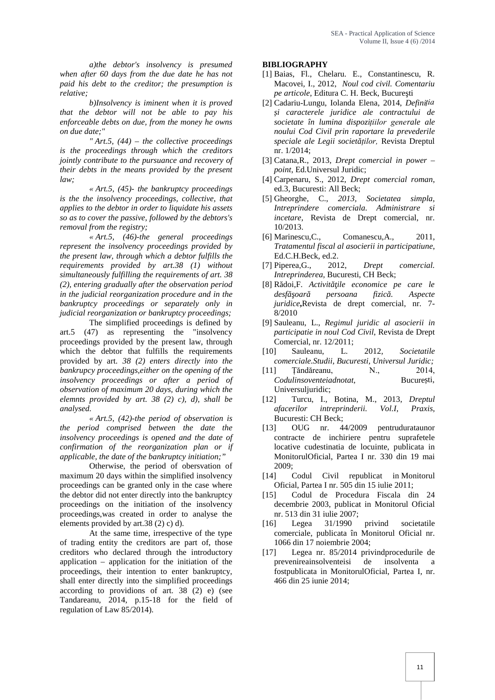*a)the debtor's insolvency is presumed when after 60 days from the due date he has not paid his debt to the creditor; the presumption is relative;*

*b)Insolvency is iminent when it is proved that the debtor will not be able to pay his enforceable debts on due, from the money he owns on due date;"*

*" Art.5, (44) – the collective proceedings is the proceedings through which the creditors jointly contribute to the pursuance and recovery of their debts in the means provided by the present law;*

*« Art.5, (45)- the bankruptcy proceedings is the the insolvency proceedings, collective, that applies to the debtor in order to liquidate his assets so as to cover the passive, followed by the debtors's removal from the registry;*

*« Art.5, (46)-the general proceedings represent the insolvency proceedings provided by the present law, through which a debtor fulfills the requirements provided by art.38 (1) without simultaneously fulfilling the requirements of art. 38 (2), entering gradually after the observation period in the judicial reorganization procedure and in the bankruptcy proceedings or separately only in judicial reorganization or bankruptcy proceedings;*

The simplified proceedings is defined by art.5 (47) as representing the "insolvency proceedings provided by the present law, through which the debtor that fulfills the requirements provided by art. *38 (2) enters directly into the bankrupcy proceedings,either on the opening of the insolvency proceedings or after a period of observation of maximum 20 days, during which the elemnts provided by art. 38 (2) c), d), shall be analysed.« Art.5, (42)-the period of observation is*

*the period comprised between the date the insolvency proceedings is opened and the date of confirmation of the reorganization plan or if applicable, the date of the bankruptcy initiation;"*

Otherwise, the period of obersvation of maximum 20 days within the simplified insolvency [14] proceedings can be granted only in the case where the debtor did not enter directly into the bankruptcy [15] proceedings on the initiation of the insolvency proceedings,was created in order to analyse the elements provided by art.38 (2) c) d).

At the same time, irrespective of the type of trading entity the creditors are part of, those creditors who declared through the introductory application – application for the initiation of the proceedings, their intention to enter bankruptcy, shall enter directly into the simplified proceedings according to providions of art. 38 (2) e) (see Tandareanu, 2014, p.15-18 for the field of regulation of Law 85/2014).

#### **BIBLIOGRAPHY**

- [1] Baias, Fl., Chelaru. E., Constantinescu, R. Macovei*,* I., 2012, *Noul cod civil. Comentariu pe articole*, Editura C. H. Beck, Bucure ti
- [2] Cadariu-Lungu, Iolanda Elena, 2014, *Definiția și caracterele juridice ale contractului de societate în lumina dispozițiilor generale ale noului Cod Civil prin raportare la prevederile speciale ale Legii societăților,* Revista Dreptul nr. 1/2014;
- [3] Catana,R., 2013, *Drept comercial in power – point*, Ed.Universul Juridic;
- [4] Carpenaru, S., 2012, *Drept comercial roman*, ed.3, Bucuresti: All Beck;
- [5] Gheorghe, C., *2013, Societatea simpla, Intreprindere comerciala. Administrare si incetare,* Revista de Drept comercial, nr. 10/2013.
- [6] Marinescu,C., Comanescu,A., 2011, *Tratamentul fiscal al asocierii in participatiune*, Ed.C.H.Beck, ed.2.
- [7] Piperea,G., 2012, *Drept comercial. Intreprinderea,* Bucuresti, CH Beck;
- [8] R doi, F. *Activit ile economice pe care le* desf oar persoana fizic . Aspecte *juridice***,**Revista de drept comercial, nr. 7- 8/2010
- [9] Sauleanu, L., *Regimul juridic al asocierii in participatie in noul Cod Civil*, Revista de Drept Comercial, nr. 12/2011;
- [10] Sauleanu, L. 2012*, Societatile comerciale.Studii, Bucuresti, Universul Juridic;*
- [11] Țăndăreanu, N., 2014, *Codulinsoventeiadnotat,* Bucure ti, Universuliuridic:
- [12] Turcu, I., Botina, M., 2013, *Dreptul afacerilor intreprinderii. Vol.I*, *Praxis*, Bucuresti: CH Beck;
- [13] OUG nr. 44/2009 pentrudurataunor contracte de inchiriere pentru suprafetele locative cudestinatia de locuinte, publicata in MonitorulOficial, Partea I nr. 330 din 19 mai 2009;
- Codul Civil republicat in Monitorul Oficial, Partea I nr. 505 din 15 iulie 2011;
- Codul de Procedura Fiscala din 24 decembrie 2003, publicat in Monitorul Oficial nr. 513 din 31 iulie 2007;
- [16] Legea 31/1990 privind societatile comerciale, publicata în Monitorul Oficial nr. 1066 din 17 noiembrie 2004;
- Legea nr. 85/2014 privindprocedurile de prevenireainsolventeisi de insolventa a fostpublicata in MonitorulOficial, Partea I, nr. 466 din 25 iunie 2014;